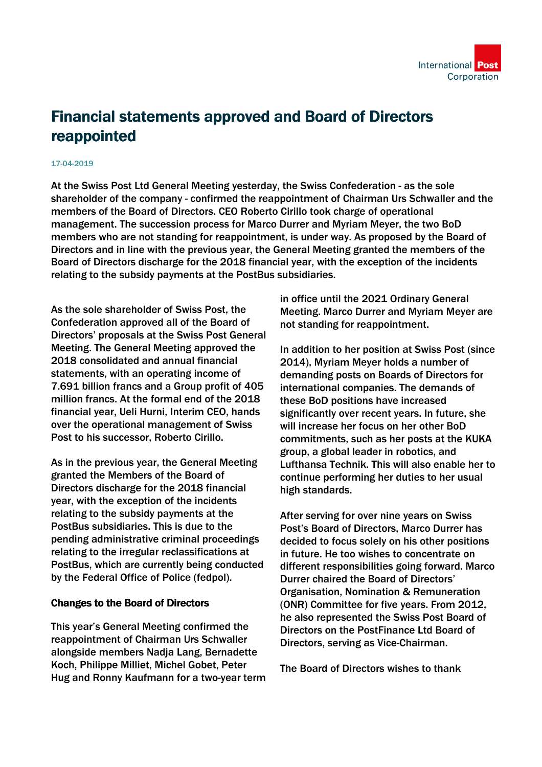

## Financial statements approved and Board of Directors reappointed

## 17-04-2019

At the Swiss Post Ltd General Meeting yesterday, the Swiss Confederation - as the sole shareholder of the company - confirmed the reappointment of Chairman Urs Schwaller and the members of the Board of Directors. CEO Roberto Cirillo took charge of operational management. The succession process for Marco Durrer and Myriam Meyer, the two BoD members who are not standing for reappointment, is under way. As proposed by the Board of Directors and in line with the previous year, the General Meeting granted the members of the Board of Directors discharge for the 2018 financial year, with the exception of the incidents relating to the subsidy payments at the PostBus subsidiaries.

As the sole shareholder of Swiss Post, the Confederation approved all of the Board of Directors' proposals at the Swiss Post General Meeting. The General Meeting approved the 2018 consolidated and annual financial statements, with an operating income of 7.691 billion francs and a Group profit of 405 million francs. At the formal end of the 2018 financial year, Ueli Hurni, Interim CEO, hands over the operational management of Swiss Post to his successor, Roberto Cirillo.

As in the previous year, the General Meeting granted the Members of the Board of Directors discharge for the 2018 financial year, with the exception of the incidents relating to the subsidy payments at the PostBus subsidiaries. This is due to the pending administrative criminal proceedings relating to the irregular reclassifications at PostBus, which are currently being conducted by the Federal Office of Police (fedpol).

## Changes to the Board of Directors

This year's General Meeting confirmed the reappointment of Chairman Urs Schwaller alongside members Nadja Lang, Bernadette Koch, Philippe Milliet, Michel Gobet, Peter Hug and Ronny Kaufmann for a two-year term in office until the 2021 Ordinary General Meeting. Marco Durrer and Myriam Meyer are not standing for reappointment.

In addition to her position at Swiss Post (since 2014), Myriam Meyer holds a number of demanding posts on Boards of Directors for international companies. The demands of these BoD positions have increased significantly over recent years. In future, she will increase her focus on her other BoD commitments, such as her posts at the KUKA group, a global leader in robotics, and Lufthansa Technik. This will also enable her to continue performing her duties to her usual high standards.

After serving for over nine years on Swiss Post's Board of Directors, Marco Durrer has decided to focus solely on his other positions in future. He too wishes to concentrate on different responsibilities going forward. Marco Durrer chaired the Board of Directors' Organisation, Nomination & Remuneration (ONR) Committee for five years. From 2012, he also represented the Swiss Post Board of Directors on the PostFinance Ltd Board of Directors, serving as Vice-Chairman.

The Board of Directors wishes to thank